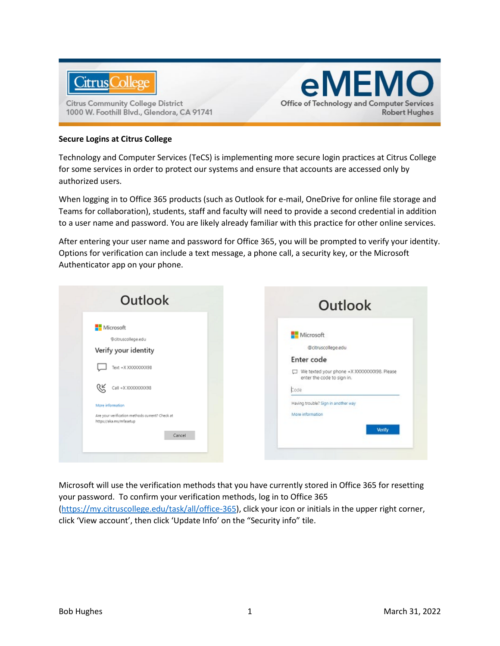

**Citrus Community College District** 1000 W. Foothill Blvd., Glendora, CA 91741

## **Secure Logins at Citrus College**

Technology and Computer Services (TeCS) is implementing more secure login practices at Citrus College for some services in order to protect our systems and ensure that accounts are accessed only by authorized users.

eMEMO

**Robert Hughes** 

**Office of Technology and Computer Services** 

When logging in to Office 365 products (such as Outlook for e-mail, OneDrive for online file storage and Teams for collaboration), students, staff and faculty will need to provide a second credential in addition to a user name and password. You are likely already familiar with this practice for other online services.

After entering your user name and password for Office 365, you will be prompted to verify your identity. Options for verification can include a text message, a phone call, a security key, or the Microsoft Authenticator app on your phone.



Microsoft will use the verification methods that you have currently stored in Office 365 for resetting your password. To confirm your verification methods, log in to Office 365 [\(https://my.citruscollege.edu/task/all/office-365\)](https://my.citruscollege.edu/task/all/office-365), click your icon or initials in the upper right corner, click 'View account', then click 'Update Info' on the "Security info" tile.